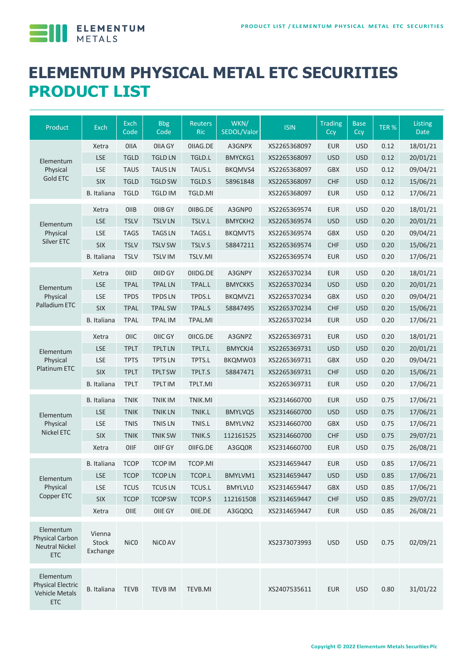

# **ELEMENTUM PHYSICAL METAL ETC SECURITIES PRODUCT LIST**

| Product                                                                      | Exch                        | Exch<br>Code     | <b>Bbg</b><br>Code | Reuters<br><b>Ric</b> | WKN/<br>SEDOL/Valor | <b>ISIN</b>  | <b>Trading</b><br>Ccy | <b>Base</b><br>Ccy | TER% | Listing<br><b>Date</b> |
|------------------------------------------------------------------------------|-----------------------------|------------------|--------------------|-----------------------|---------------------|--------------|-----------------------|--------------------|------|------------------------|
| Elementum<br>Physical<br><b>Gold ETC</b>                                     | Xetra                       | <b>OIIA</b>      | <b>OIIA GY</b>     | OIIAG.DE              | A3GNPX              | XS2265368097 | <b>EUR</b>            | <b>USD</b>         | 0.12 | 18/01/21               |
|                                                                              | <b>LSE</b>                  | <b>TGLD</b>      | <b>TGLD LN</b>     | TGLD.L                | <b>BMYCKG1</b>      | XS2265368097 | <b>USD</b>            | <b>USD</b>         | 0.12 | 20/01/21               |
|                                                                              | <b>LSE</b>                  | <b>TAUS</b>      | <b>TAUSLN</b>      | TAUS.L                | BKQMVS4             | XS2265368097 | <b>GBX</b>            | <b>USD</b>         | 0.12 | 09/04/21               |
|                                                                              | <b>SIX</b>                  | <b>TGLD</b>      | <b>TGLD SW</b>     | TGLD.S                | 58961848            | XS2265368097 | <b>CHF</b>            | <b>USD</b>         | 0.12 | 15/06/21               |
|                                                                              | B. Italiana                 | <b>TGLD</b>      | <b>TGLD IM</b>     | TGLD.MI               |                     | XS2265368097 | <b>EUR</b>            | <b>USD</b>         | 0.12 | 17/06/21               |
| Elementum<br>Physical<br>Silver ETC                                          | Xetra                       | OIIB             | OIIB GY            | OIIBG.DE              | A3GNP0              | XS2265369574 | <b>EUR</b>            | <b>USD</b>         | 0.20 | 18/01/21               |
|                                                                              | <b>LSE</b>                  | <b>TSLV</b>      | <b>TSLVLN</b>      | TSLV.L                | <b>BMYCKH2</b>      | XS2265369574 | <b>USD</b>            | <b>USD</b>         | 0.20 | 20/01/21               |
|                                                                              | <b>LSE</b>                  | <b>TAGS</b>      | <b>TAGS LN</b>     | TAGS.L                | <b>BKQMVT5</b>      | XS2265369574 | <b>GBX</b>            | <b>USD</b>         | 0.20 | 09/04/21               |
|                                                                              | <b>SIX</b>                  | <b>TSLV</b>      | <b>TSLV SW</b>     | TSLV.S                | 58847211            | XS2265369574 | <b>CHF</b>            | <b>USD</b>         | 0.20 | 15/06/21               |
|                                                                              | <b>B.</b> Italiana          | <b>TSLV</b>      | <b>TSLV IM</b>     | TSLV.MI               |                     | XS2265369574 | <b>EUR</b>            | <b>USD</b>         | 0.20 | 17/06/21               |
| Elementum<br>Physical<br>Palladium ETC                                       | Xetra                       | <b>OIID</b>      | OIID GY            | OIIDG.DE              | A3GNPY              | XS2265370234 | <b>EUR</b>            | <b>USD</b>         | 0.20 | 18/01/21               |
|                                                                              | <b>LSE</b>                  | <b>TPAL</b>      | <b>TPAL LN</b>     | TPAL.L                | <b>BMYCKK5</b>      | XS2265370234 | <b>USD</b>            | <b>USD</b>         | 0.20 | 20/01/21               |
|                                                                              | <b>LSE</b>                  | <b>TPDS</b>      | <b>TPDS LN</b>     | TPDS.L                | BKQMVZ1             | XS2265370234 | <b>GBX</b>            | <b>USD</b>         | 0.20 | 09/04/21               |
|                                                                              | <b>SIX</b>                  | <b>TPAL</b>      | <b>TPAL SW</b>     | TPAL.S                | 58847495            | XS2265370234 | <b>CHF</b>            | <b>USD</b>         | 0.20 | 15/06/21               |
|                                                                              | B. Italiana                 | <b>TPAL</b>      | <b>TPAL IM</b>     | TPAL.MI               |                     | XS2265370234 | <b>EUR</b>            | <b>USD</b>         | 0.20 | 17/06/21               |
| Elementum<br>Physical<br><b>Platinum ETC</b>                                 | Xetra                       | <b>OIIC</b>      | OIIC GY            | OIICG.DE              | A3GNPZ              | XS2265369731 | <b>EUR</b>            | <b>USD</b>         | 0.20 | 18/01/21               |
|                                                                              | <b>LSE</b>                  | <b>TPLT</b>      | <b>TPLT LN</b>     | TPLT.L                | BMYCKJ4             | XS2265369731 | <b>USD</b>            | <b>USD</b>         | 0.20 | 20/01/21               |
|                                                                              | LSE                         | <b>TPTS</b>      | <b>TPTS LN</b>     | TPTS.L                | BKQMW03             | XS2265369731 | <b>GBX</b>            | <b>USD</b>         | 0.20 | 09/04/21               |
|                                                                              | <b>SIX</b>                  | <b>TPLT</b>      | <b>TPLT SW</b>     | TPLT.S                | 58847471            | XS2265369731 | <b>CHF</b>            | <b>USD</b>         | 0.20 | 15/06/21               |
|                                                                              | <b>B.</b> Italiana          | <b>TPLT</b>      | <b>TPLT IM</b>     | TPLT.MI               |                     | XS2265369731 | <b>EUR</b>            | <b>USD</b>         | 0.20 | 17/06/21               |
| Elementum<br>Physical<br><b>Nickel ETC</b>                                   | B. Italiana                 | <b>TNIK</b>      | <b>TNIKIM</b>      | TNIK.MI               |                     | XS2314660700 | <b>EUR</b>            | <b>USD</b>         | 0.75 | 17/06/21               |
|                                                                              | <b>LSE</b>                  | <b>TNIK</b>      | <b>TNIK LN</b>     | TNIK.L                | <b>BMYLVQ5</b>      | XS2314660700 | <b>USD</b>            | <b>USD</b>         | 0.75 | 17/06/21               |
|                                                                              | <b>LSE</b>                  | <b>TNIS</b>      | <b>TNIS LN</b>     | TNIS.L                | <b>BMYLVN2</b>      | XS2314660700 | <b>GBX</b>            | <b>USD</b>         | 0.75 | 17/06/21               |
|                                                                              | <b>SIX</b>                  | <b>TNIK</b>      | <b>TNIK SW</b>     | TNIK.S                | 112161525           | XS2314660700 | <b>CHF</b>            | <b>USD</b>         | 0.75 | 29/07/21               |
|                                                                              | Xetra                       | OIIF             | OIIF GY            | OIIFG.DE              | A3GQ0R              | XS2314660700 | <b>EUR</b>            | <b>USD</b>         | 0.75 | 26/08/21               |
| Elementum<br>Physical                                                        | B. Italiana                 | <b>TCOP</b>      | <b>TCOP IM</b>     | <b>TCOP.MI</b>        |                     | XS2314659447 | <b>EUR</b>            | <b>USD</b>         | 0.85 | 17/06/21               |
|                                                                              | <b>LSE</b>                  | <b>TCOP</b>      | <b>TCOP LN</b>     | TCOP.L                | BMYLVM1             | XS2314659447 | <b>USD</b>            | <b>USD</b>         | 0.85 | 17/06/21               |
|                                                                              | LSE                         | <b>TCUS</b>      | <b>TCUS LN</b>     | TCUS.L                | <b>BMYLVLO</b>      | XS2314659447 | <b>GBX</b>            | <b>USD</b>         | 0.85 | 17/06/21               |
| Copper ETC                                                                   | SIX                         | <b>TCOP</b>      | <b>TCOP SW</b>     | TCOP.S                | 112161508           | XS2314659447 | <b>CHF</b>            | <b>USD</b>         | 0.85 | 29/07/21               |
|                                                                              | Xetra                       | OIIE             | OIIE GY            | OIIE.DE               | A3GQ0Q              | XS2314659447 | <b>EUR</b>            | <b>USD</b>         | 0.85 | 26/08/21               |
| Elementum<br>Physical Carbon<br><b>Neutral Nickel</b><br><b>ETC</b>          | Vienna<br>Stock<br>Exchange | NiC <sub>0</sub> | NiCO AV            |                       |                     | XS2373073993 | <b>USD</b>            | <b>USD</b>         | 0.75 | 02/09/21               |
| Elementum<br><b>Physical Electric</b><br><b>Vehicle Metals</b><br><b>ETC</b> | B. Italiana                 | <b>TEVB</b>      | <b>TEVB IM</b>     | TEVB.MI               |                     | XS2407535611 | <b>EUR</b>            | <b>USD</b>         | 0.80 | 31/01/22               |